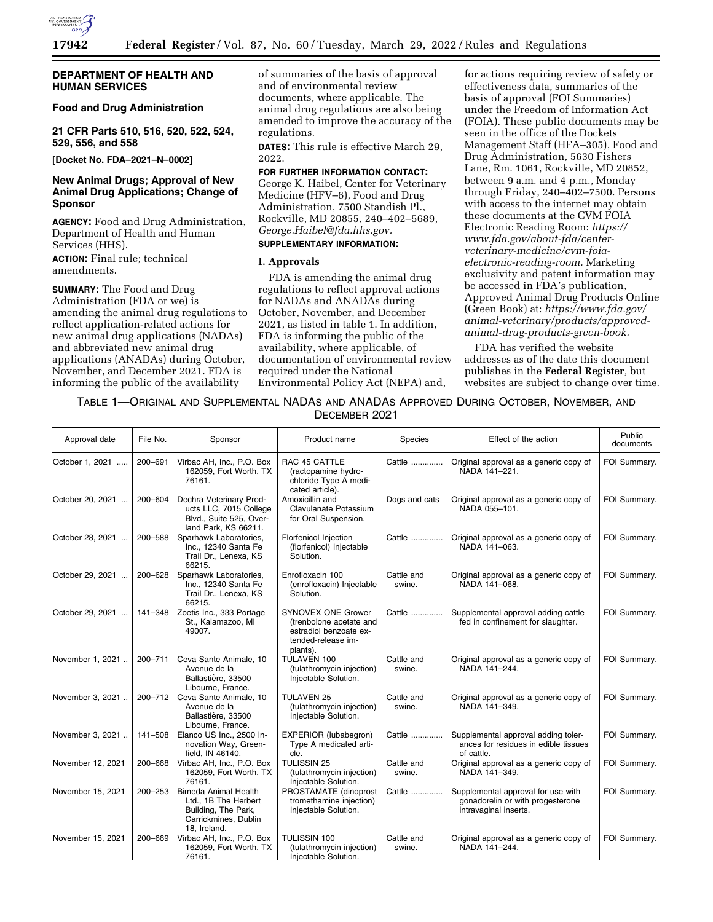

## **DEPARTMENT OF HEALTH AND HUMAN SERVICES**

# **Food and Drug Administration**

**21 CFR Parts 510, 516, 520, 522, 524, 529, 556, and 558** 

**[Docket No. FDA–2021–N–0002]** 

# **New Animal Drugs; Approval of New Animal Drug Applications; Change of Sponsor**

**AGENCY:** Food and Drug Administration, Department of Health and Human Services (HHS).

**ACTION:** Final rule; technical amendments.

**SUMMARY:** The Food and Drug Administration (FDA or we) is amending the animal drug regulations to reflect application-related actions for new animal drug applications (NADAs) and abbreviated new animal drug applications (ANADAs) during October, November, and December 2021. FDA is informing the public of the availability

of summaries of the basis of approval and of environmental review documents, where applicable. The animal drug regulations are also being amended to improve the accuracy of the regulations.

**DATES:** This rule is effective March 29, 2022.

**FOR FURTHER INFORMATION CONTACT:**  George K. Haibel, Center for Veterinary Medicine (HFV–6), Food and Drug Administration, 7500 Standish Pl., Rockville, MD 20855, 240–402–5689, *[George.Haibel@fda.hhs.gov.](mailto:George.Haibel@fda.hhs.gov)* 

# **SUPPLEMENTARY INFORMATION:**

#### **I. Approvals**

FDA is amending the animal drug regulations to reflect approval actions for NADAs and ANADAs during October, November, and December 2021, as listed in table 1. In addition, FDA is informing the public of the availability, where applicable, of documentation of environmental review required under the National Environmental Policy Act (NEPA) and,

for actions requiring review of safety or effectiveness data, summaries of the basis of approval (FOI Summaries) under the Freedom of Information Act (FOIA). These public documents may be seen in the office of the Dockets Management Staff (HFA–305), Food and Drug Administration, 5630 Fishers Lane, Rm. 1061, Rockville, MD 20852, between 9 a.m. and 4 p.m., Monday through Friday, 240–402–7500. Persons with access to the internet may obtain these documents at the CVM FOIA Electronic Reading Room: *[https://](https://www.fda.gov/about-fda/center-veterinary-medicine/cvm-foia-electronic-reading-room) [www.fda.gov/about-fda/center](https://www.fda.gov/about-fda/center-veterinary-medicine/cvm-foia-electronic-reading-room)[veterinary-medicine/cvm-foia](https://www.fda.gov/about-fda/center-veterinary-medicine/cvm-foia-electronic-reading-room)[electronic-reading-room.](https://www.fda.gov/about-fda/center-veterinary-medicine/cvm-foia-electronic-reading-room)* Marketing exclusivity and patent information may be accessed in FDA's publication, Approved Animal Drug Products Online (Green Book) at: *[https://www.fda.gov/](https://www.fda.gov/animal-veterinary/products/approved-animal-drug-products-green-book) [animal-veterinary/products/approved](https://www.fda.gov/animal-veterinary/products/approved-animal-drug-products-green-book)[animal-drug-products-green-book.](https://www.fda.gov/animal-veterinary/products/approved-animal-drug-products-green-book)* 

FDA has verified the website addresses as of the date this document publishes in the **Federal Register***,* but websites are subject to change over time.

TABLE 1—ORIGINAL AND SUPPLEMENTAL NADAS AND ANADAS APPROVED DURING OCTOBER, NOVEMBER, AND DECEMBER 2021

| Approval date     | File No. | Sponsor                                                                                                            | Product name                                                                                                     | Species              | Effect of the action                                                                            | Public<br>documents |
|-------------------|----------|--------------------------------------------------------------------------------------------------------------------|------------------------------------------------------------------------------------------------------------------|----------------------|-------------------------------------------------------------------------------------------------|---------------------|
| October 1, 2021   | 200-691  | Virbac AH, Inc., P.O. Box<br>162059, Fort Worth, TX<br>76161.                                                      | RAC 45 CATTLE<br>(ractopamine hydro-<br>chloride Type A medi-<br>cated article).                                 | Cattle               | Original approval as a generic copy of<br>NADA 141-221.                                         | FOI Summary.        |
| October 20, 2021  | 200-604  | Dechra Veterinary Prod-<br>ucts LLC, 7015 College<br>Blvd., Suite 525, Over-<br>land Park, KS 66211.               | Amoxicillin and<br>Clavulanate Potassium<br>for Oral Suspension.                                                 | Dogs and cats        | Original approval as a generic copy of<br>NADA 055-101.                                         | FOI Summary.        |
| October 28, 2021  | 200-588  | Sparhawk Laboratories,<br>Inc., 12340 Santa Fe<br>Trail Dr., Lenexa, KS<br>66215.                                  | <b>Florfenicol Injection</b><br>(florfenicol) Injectable<br>Solution.                                            | Cattle               | Original approval as a generic copy of<br>NADA 141-063.                                         | FOI Summary.        |
| October 29, 2021  | 200-628  | Sparhawk Laboratories,<br>Inc., 12340 Santa Fe<br>Trail Dr., Lenexa, KS<br>66215.                                  | Enrofloxacin 100<br>(enrofloxacin) Injectable<br>Solution.                                                       | Cattle and<br>swine. | Original approval as a generic copy of<br>NADA 141-068.                                         | FOI Summary.        |
| October 29, 2021  | 141-348  | Zoetis Inc., 333 Portage<br>St., Kalamazoo, MI<br>49007.                                                           | <b>SYNOVEX ONE Grower</b><br>(trenbolone acetate and<br>estradiol benzoate ex-<br>tended-release im-<br>plants). | Cattle               | Supplemental approval adding cattle<br>fed in confinement for slaughter.                        | FOI Summary.        |
| November 1, 2021  | 200-711  | Ceva Sante Animale, 10<br>Avenue de la<br>Ballastière, 33500<br>Libourne, France.                                  | TULAVEN 100<br>(tulathromycin injection)<br>Injectable Solution.                                                 | Cattle and<br>swine. | Original approval as a generic copy of<br>NADA 141-244.                                         | FOI Summary.        |
| November 3, 2021  | 200-712  | Ceva Sante Animale, 10<br>Avenue de la<br>Ballastière, 33500<br>Libourne, France.                                  | <b>TULAVEN 25</b><br>(tulathromycin injection)<br>Injectable Solution.                                           | Cattle and<br>swine. | Original approval as a generic copy of<br>NADA 141-349.                                         | FOI Summary.        |
| November 3, 2021  | 141-508  | Elanco US Inc., 2500 In-<br>novation Way, Green-<br>field, IN 46140.                                               | EXPERIOR (lubabegron)<br>Type A medicated arti-<br>cle.                                                          | Cattle               | Supplemental approval adding toler-<br>ances for residues in edible tissues<br>of cattle.       | FOI Summary.        |
| November 12, 2021 | 200-668  | Virbac AH, Inc., P.O. Box<br>162059, Fort Worth, TX<br>76161.                                                      | <b>TULISSIN 25</b><br>(tulathromycin injection)<br>Injectable Solution.                                          | Cattle and<br>swine. | Original approval as a generic copy of<br>NADA 141-349.                                         | FOI Summary.        |
| November 15, 2021 | 200-253  | <b>Bimeda Animal Health</b><br>Ltd., 1B The Herbert<br>Building, The Park,<br>Carrickmines, Dublin<br>18, Ireland. | PROSTAMATE (dinoprost<br>tromethamine injection)<br>Injectable Solution.                                         | Cattle               | Supplemental approval for use with<br>gonadorelin or with progesterone<br>intravaginal inserts. | FOI Summary.        |
| November 15, 2021 | 200-669  | Virbac AH, Inc., P.O. Box<br>162059, Fort Worth, TX<br>76161.                                                      | TULISSIN 100<br>(tulathromycin injection)<br>Injectable Solution.                                                | Cattle and<br>swine. | Original approval as a generic copy of<br>NADA 141-244.                                         | FOI Summary.        |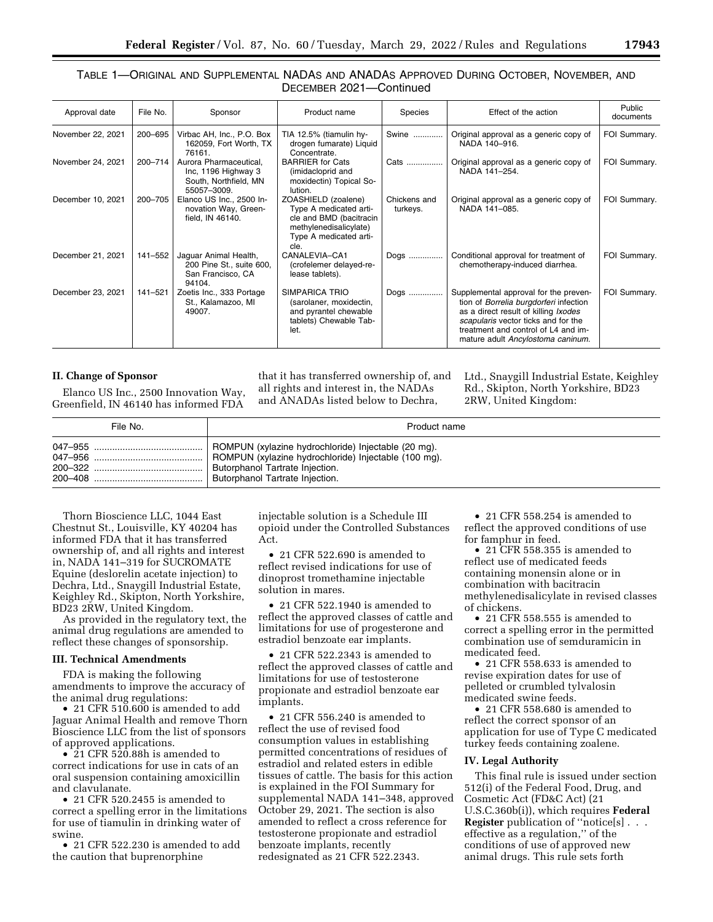# TABLE 1—ORIGINAL AND SUPPLEMENTAL NADAS AND ANADAS APPROVED DURING OCTOBER, NOVEMBER, AND DECEMBER 2021—Continued

| Approval date     | File No. | Sponsor                                                                               | Product name                                                                                                                         | Species                  | Effect of the action                                                                                                                                                                                                                       | Public<br>documents |
|-------------------|----------|---------------------------------------------------------------------------------------|--------------------------------------------------------------------------------------------------------------------------------------|--------------------------|--------------------------------------------------------------------------------------------------------------------------------------------------------------------------------------------------------------------------------------------|---------------------|
| November 22, 2021 | 200-695  | Virbac AH, Inc., P.O. Box<br>162059, Fort Worth, TX<br>76161.                         | TIA 12.5% (tiamulin hy-<br>drogen fumarate) Liquid<br>Concentrate.                                                                   | Swine                    | Original approval as a generic copy of<br>NADA 140-916.                                                                                                                                                                                    | FOI Summary.        |
| November 24, 2021 | 200-714  | Aurora Pharmaceutical.<br>Inc, 1196 Highway 3<br>South, Northfield, MN<br>55057-3009. | <b>BARRIER</b> for Cats<br>(imidacloprid and<br>moxidectin) Topical So-<br>lution.                                                   | Cats                     | Original approval as a generic copy of<br>NADA 141-254.                                                                                                                                                                                    | FOI Summary.        |
| December 10, 2021 | 200-705  | Elanco US Inc., 2500 In-<br>novation Way, Green-<br>field, IN 46140.                  | ZOASHIELD (zoalene)<br>Type A medicated arti-<br>cle and BMD (bacitracin<br>methylenedisalicylate)<br>Type A medicated arti-<br>cle. | Chickens and<br>turkeys. | Original approval as a generic copy of<br>NADA 141-085.                                                                                                                                                                                    | FOI Summary.        |
| December 21, 2021 | 141–552  | Jaquar Animal Health,<br>200 Pine St., suite 600,<br>San Francisco, CA<br>94104.      | CANALEVIA-CA1<br>(crofelemer delayed-re-<br>lease tablets).                                                                          | Dogs                     | Conditional approval for treatment of<br>chemotherapy-induced diarrhea.                                                                                                                                                                    | FOI Summary.        |
| December 23, 2021 | 141-521  | Zoetis Inc., 333 Portage<br>St., Kalamazoo, MI<br>49007.                              | SIMPARICA TRIO<br>(sarolaner, moxidectin,<br>and pyrantel chewable<br>tablets) Chewable Tab-<br>let.                                 | Dogs                     | Supplemental approval for the preven-<br>tion of Borrelia burgdorferi infection<br>as a direct result of killing Ixodes<br>scapularis vector ticks and for the<br>treatment and control of L4 and im-<br>mature adult Ancylostoma caninum. | FOI Summary.        |

#### **II. Change of Sponsor**

Elanco US Inc., 2500 Innovation Way, Greenfield, IN 46140 has informed FDA

that it has transferred ownership of, and all rights and interest in, the NADAs and ANADAs listed below to Dechra,

Ltd., Snaygill Industrial Estate, Keighley Rd., Skipton, North Yorkshire, BD23 2RW, United Kingdom:

| File No. | Product name                                         |
|----------|------------------------------------------------------|
| 047-955  | ROMPUN (xylazine hydrochloride) Injectable (20 mg).  |
|          | ROMPUN (xylazine hydrochloride) Injectable (100 mg). |
|          | Butorphanol Tartrate Injection.                      |
|          | Butorphanol Tartrate Injection.                      |

Thorn Bioscience LLC, 1044 East Chestnut St., Louisville, KY 40204 has informed FDA that it has transferred ownership of, and all rights and interest in, NADA 141–319 for SUCROMATE Equine (deslorelin acetate injection) to Dechra, Ltd., Snaygill Industrial Estate, Keighley Rd., Skipton, North Yorkshire, BD23 2RW, United Kingdom.

As provided in the regulatory text, the animal drug regulations are amended to reflect these changes of sponsorship.

#### **III. Technical Amendments**

FDA is making the following amendments to improve the accuracy of the animal drug regulations:

• 21 CFR 510.600 is amended to add Jaguar Animal Health and remove Thorn Bioscience LLC from the list of sponsors of approved applications.

 $\overline{\phantom{a}}$  21 CFR 520.88h is amended to correct indications for use in cats of an oral suspension containing amoxicillin and clavulanate.

• 21 CFR 520.2455 is amended to correct a spelling error in the limitations for use of tiamulin in drinking water of swine.

• 21 CFR 522.230 is amended to add the caution that buprenorphine

injectable solution is a Schedule III opioid under the Controlled Substances Act.

• 21 CFR 522.690 is amended to reflect revised indications for use of dinoprost tromethamine injectable solution in mares.

• 21 CFR 522.1940 is amended to reflect the approved classes of cattle and limitations for use of progesterone and estradiol benzoate ear implants.

• 21 CFR 522.2343 is amended to reflect the approved classes of cattle and limitations for use of testosterone propionate and estradiol benzoate ear implants.

• 21 CFR 556.240 is amended to reflect the use of revised food consumption values in establishing permitted concentrations of residues of estradiol and related esters in edible tissues of cattle. The basis for this action is explained in the FOI Summary for supplemental NADA 141–348, approved October 29, 2021. The section is also amended to reflect a cross reference for testosterone propionate and estradiol benzoate implants, recently redesignated as 21 CFR 522.2343.

• 21 CFR 558.254 is amended to reflect the approved conditions of use for famphur in feed.

• 21 CFR 558.355 is amended to reflect use of medicated feeds containing monensin alone or in combination with bacitracin methylenedisalicylate in revised classes of chickens.

• 21 CFR 558.555 is amended to correct a spelling error in the permitted combination use of semduramicin in medicated feed.

• 21 CFR 558.633 is amended to revise expiration dates for use of pelleted or crumbled tylvalosin medicated swine feeds.

• 21 CFR 558.680 is amended to reflect the correct sponsor of an application for use of Type C medicated turkey feeds containing zoalene.

## **IV. Legal Authority**

This final rule is issued under section 512(i) of the Federal Food, Drug, and Cosmetic Act (FD&C Act) (21 U.S.C.360b(i)), which requires **Federal Register** publication of ''notice[s] . . . effective as a regulation,'' of the conditions of use of approved new animal drugs. This rule sets forth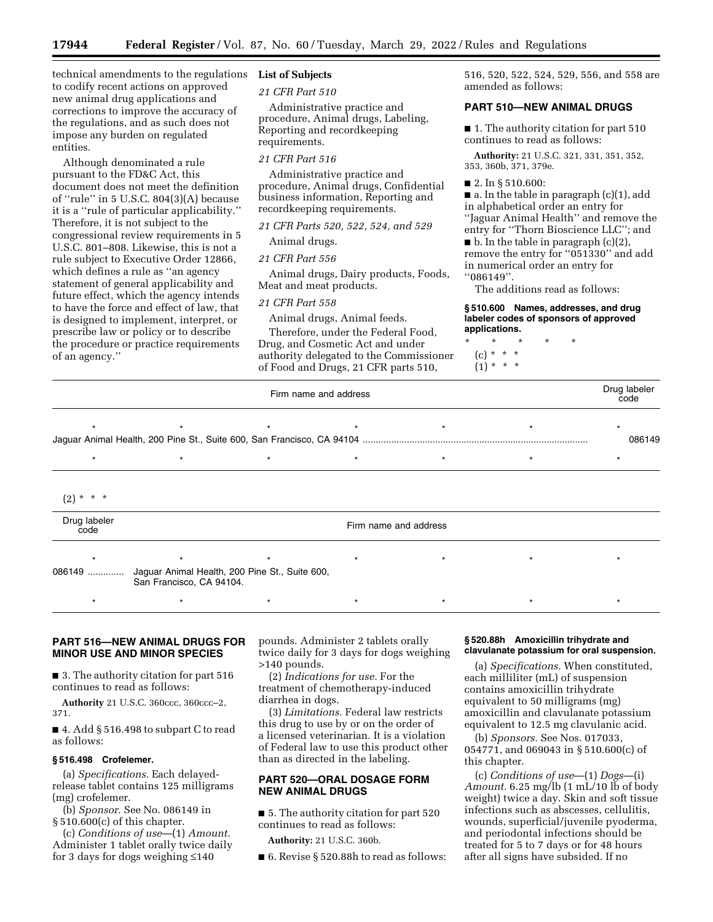technical amendments to the regulations **List of Subjects**  to codify recent actions on approved new animal drug applications and corrections to improve the accuracy of the regulations, and as such does not impose any burden on regulated entities.

Although denominated a rule pursuant to the FD&C Act, this document does not meet the definition of ''rule'' in 5 U.S.C. 804(3)(A) because it is a ''rule of particular applicability.'' Therefore, it is not subject to the congressional review requirements in 5 U.S.C. 801–808. Likewise, this is not a rule subject to Executive Order 12866, which defines a rule as ''an agency statement of general applicability and future effect, which the agency intends to have the force and effect of law, that is designed to implement, interpret, or prescribe law or policy or to describe the procedure or practice requirements of an agency.''

*21 CFR Part 510* 

Administrative practice and procedure, Animal drugs, Labeling, Reporting and recordkeeping requirements.

## *21 CFR Part 516*

Administrative practice and procedure, Animal drugs, Confidential business information, Reporting and recordkeeping requirements.

*21 CFR Parts 520, 522, 524, and 529* 

# Animal drugs.

*21 CFR Part 556* 

Animal drugs, Dairy products, Foods, Meat and meat products.

#### *21 CFR Part 558*

Animal drugs, Animal feeds.

Therefore, under the Federal Food, Drug, and Cosmetic Act and under authority delegated to the Commissioner of Food and Drugs, 21 CFR parts 510,

516, 520, 522, 524, 529, 556, and 558 are amended as follows:

## **PART 510—NEW ANIMAL DRUGS**

■ 1. The authority citation for part 510 continues to read as follows:

**Authority:** 21 U.S.C. 321, 331, 351, 352, 353, 360b, 371, 379e.

#### ■ 2. In § 510.600:

■ a. In the table in paragraph (c)(1), add in alphabetical order an entry for ''Jaguar Animal Health'' and remove the entry for ''Thorn Bioscience LLC''; and  $\blacksquare$  b. In the table in paragraph (c)(2), remove the entry for ''051330'' and add in numerical order an entry for ''086149''.

The additions read as follows:

#### **§ 510.600 Names, addresses, and drug labeler codes of sponsors of approved applications.**

- \* \* \* \* \*
	- (c) \* \* \*
	- $(1) * * * *$

|                      | Firm name and address                                                      |         |                       |         |         | Drug labeler<br>code |
|----------------------|----------------------------------------------------------------------------|---------|-----------------------|---------|---------|----------------------|
| $\star$              |                                                                            | $\star$ | $\star$               |         | $\star$ | 086149               |
| $^\star$             | $\star$                                                                    | $\star$ | $\star$               | $\star$ | $\star$ | $\star$              |
| * * *<br>(2)         |                                                                            |         |                       |         |         |                      |
| Drug labeler<br>code |                                                                            |         | Firm name and address |         |         |                      |
| 086149               | Jaguar Animal Health, 200 Pine St., Suite 600,<br>San Francisco, CA 94104. | $\star$ | $\star$               |         |         |                      |
|                      |                                                                            | $\star$ |                       |         |         |                      |

## **PART 516—NEW ANIMAL DRUGS FOR MINOR USE AND MINOR SPECIES**

■ 3. The authority citation for part 516 continues to read as follows:

**Authority** 21 U.S.C. 360ccc, 360ccc–2, 371.

■ 4. Add § 516.498 to subpart C to read as follows:

# **§ 516.498 Crofelemer.**

(a) *Specifications.* Each delayedrelease tablet contains 125 milligrams (mg) crofelemer.

(b) *Sponsor.* See No. 086149 in § 510.600(c) of this chapter.

(c) *Conditions of use*—(1) *Amount.*  Administer 1 tablet orally twice daily for 3 days for dogs weighing ≤140

pounds. Administer 2 tablets orally twice daily for 3 days for dogs weighing >140 pounds.

(2) *Indications for use.* For the treatment of chemotherapy-induced diarrhea in dogs.

(3) *Limitations.* Federal law restricts this drug to use by or on the order of a licensed veterinarian. It is a violation of Federal law to use this product other than as directed in the labeling.

# **PART 520—ORAL DOSAGE FORM NEW ANIMAL DRUGS**

■ 5. The authority citation for part 520 continues to read as follows:

**Authority:** 21 U.S.C. 360b.

■ 6. Revise § 520.88h to read as follows:

## **§ 520.88h Amoxicillin trihydrate and clavulanate potassium for oral suspension.**

(a) *Specifications.* When constituted, each milliliter (mL) of suspension contains amoxicillin trihydrate equivalent to 50 milligrams (mg) amoxicillin and clavulanate potassium equivalent to 12.5 mg clavulanic acid.

(b) *Sponsors.* See Nos. 017033, 054771, and 069043 in § 510.600(c) of this chapter.

(c) *Conditions of use*—(1) *Dogs*—(i) *Amount.* 6.25 mg/lb (1 mL/10 lb of body weight) twice a day. Skin and soft tissue infections such as abscesses, cellulitis, wounds, superficial/juvenile pyoderma, and periodontal infections should be treated for 5 to 7 days or for 48 hours after all signs have subsided. If no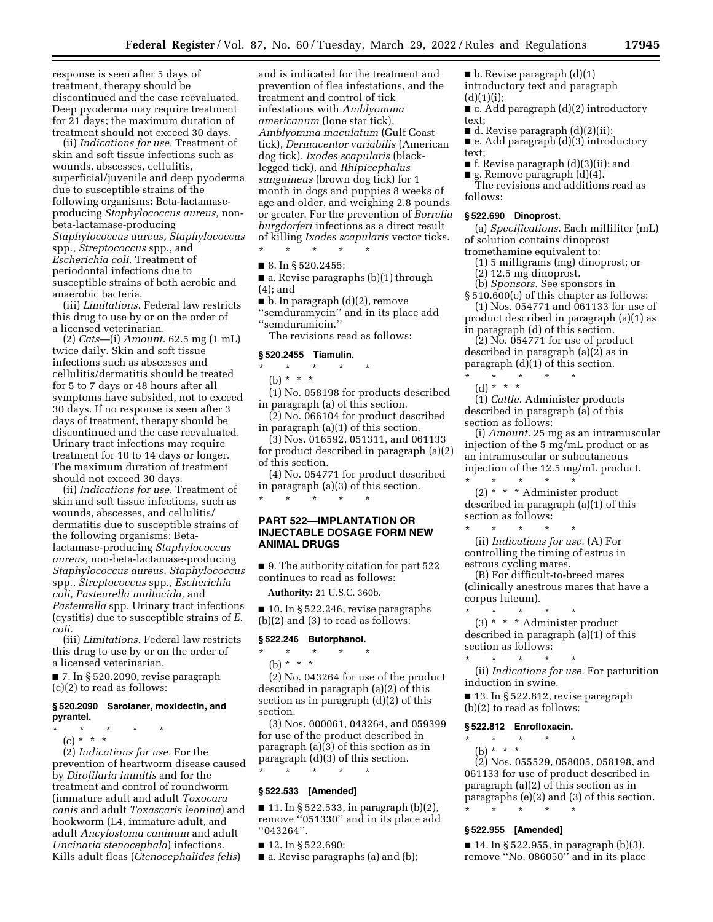response is seen after 5 days of treatment, therapy should be discontinued and the case reevaluated. Deep pyoderma may require treatment for 21 days; the maximum duration of treatment should not exceed 30 days.

(ii) *Indications for use.* Treatment of skin and soft tissue infections such as wounds, abscesses, cellulitis, superficial/juvenile and deep pyoderma due to susceptible strains of the following organisms: Beta-lactamaseproducing *Staphylococcus aureus,* nonbeta-lactamase-producing *Staphylococcus aureus, Staphylococcus*  spp., *Streptococcus* spp., and *Escherichia coli.* Treatment of periodontal infections due to susceptible strains of both aerobic and anaerobic bacteria.

(iii) *Limitations.* Federal law restricts this drug to use by or on the order of a licensed veterinarian.

(2) *Cats*—(i) *Amount.* 62.5 mg (1 mL) twice daily. Skin and soft tissue infections such as abscesses and cellulitis/dermatitis should be treated for 5 to 7 days or 48 hours after all symptoms have subsided, not to exceed 30 days. If no response is seen after 3 days of treatment, therapy should be discontinued and the case reevaluated. Urinary tract infections may require treatment for 10 to 14 days or longer. The maximum duration of treatment should not exceed 30 days.

(ii) *Indications for use.* Treatment of skin and soft tissue infections, such as wounds, abscesses, and cellulitis/ dermatitis due to susceptible strains of the following organisms: Betalactamase-producing *Staphylococcus aureus,* non-beta-lactamase-producing *Staphylococcus aureus, Staphylococcus*  spp., *Streptococcus* spp., *Escherichia coli, Pasteurella multocida,* and *Pasteurella* spp. Urinary tract infections (cystitis) due to susceptible strains of *E. coli.* 

(iii) *Limitations.* Federal law restricts this drug to use by or on the order of a licensed veterinarian.

■ 7. In § 520.2090, revise paragraph (c)(2) to read as follows:

## **§ 520.2090 Sarolaner, moxidectin, and pyrantel.**

\* \* \* \* \*

(c) \* \* \*

(2) *Indications for use.* For the prevention of heartworm disease caused by *Dirofilaria immitis* and for the treatment and control of roundworm (immature adult and adult *Toxocara canis* and adult *Toxascaris leonina*) and hookworm (L4, immature adult, and adult *Ancylostoma caninum* and adult *Uncinaria stenocephala*) infections. Kills adult fleas (*Ctenocephalides felis*)

and is indicated for the treatment and prevention of flea infestations, and the treatment and control of tick infestations with *Amblyomma americanum* (lone star tick), *Amblyomma maculatum* (Gulf Coast tick), *Dermacentor variabilis* (American dog tick), *Ixodes scapularis* (blacklegged tick), and *Rhipicephalus sanguineus* (brown dog tick) for 1 month in dogs and puppies 8 weeks of age and older, and weighing 2.8 pounds or greater. For the prevention of *Borrelia burgdorferi* infections as a direct result of killing *Ixodes scapularis* vector ticks. \* \* \* \* \*

#### ■ 8. In § 520.2455:

■ a. Revise paragraphs (b)(1) through (4); and

■ b. In paragraph (d)(2), remove

''semduramycin'' and in its place add ''semduramicin.''

The revisions read as follows:

#### **§ 520.2455 Tiamulin.**

\* \* \* \* \*

(b) \* \* \*

(1) No. 058198 for products described in paragraph (a) of this section.

(2) No. 066104 for product described in paragraph (a)(1) of this section.

(3) Nos. 016592, 051311, and 061133 for product described in paragraph (a)(2) of this section.

(4) No. 054771 for product described in paragraph (a)(3) of this section. \* \* \* \* \*

# **PART 522—IMPLANTATION OR INJECTABLE DOSAGE FORM NEW ANIMAL DRUGS**

■ 9. The authority citation for part 522 continues to read as follows:

**Authority:** 21 U.S.C. 360b.

■ 10. In § 522.246, revise paragraphs (b)(2) and (3) to read as follows:

## **§ 522.246 Butorphanol.**

\* \* \* \* \*

(b) \* \* \*

(2) No. 043264 for use of the product described in paragraph (a)(2) of this section as in paragraph (d)(2) of this section.

(3) Nos. 000061, 043264, and 059399 for use of the product described in paragraph (a)(3) of this section as in paragraph (d)(3) of this section. \* \* \* \* \*

#### **§ 522.533 [Amended]**

■ 11. In § 522.533, in paragraph  $(b)(2)$ , remove ''051330'' and in its place add ''043264''.

■ 12. In § 522.690:

■ a. Revise paragraphs (a) and (b);

 $\blacksquare$  b. Revise paragraph  $(d)(1)$ introductory text and paragraph  $(d)(1)(i);$ 

■ c. Add paragraph (d)(2) introductory text;

■ d. Revise paragraph (d)(2)(ii);

■ e. Add paragraph (d)(3) introductory text;

■ f. Revise paragraph (d)(3)(ii); and

■ g. Remove paragraph (d)(4). The revisions and additions read as follows:

## **§ 522.690 Dinoprost.**

(a) *Specifications.* Each milliliter (mL) of solution contains dinoprost tromethamine equivalent to:

(1) 5 milligrams (mg) dinoprost; or

- (2) 12.5 mg dinoprost.
- (b) *Sponsors.* See sponsors in

§ 510.600(c) of this chapter as follows: (1) Nos. 054771 and 061133 for use of

product described in paragraph (a)(1) as in paragraph (d) of this section.

 $(2)$  No. 054771 for use of product described in paragraph (a)(2) as in paragraph (d)(1) of this section.

\* \* \* \* \* (d) \* \* \*

(1) *Cattle.* Administer products described in paragraph (a) of this section as follows:

(i) *Amount.* 25 mg as an intramuscular injection of the 5 mg/mL product or as an intramuscular or subcutaneous injection of the 12.5 mg/mL product. \* \* \* \* \*

(2) \* \* \* Administer product described in paragraph (a)(1) of this section as follows:

\* \* \* \* \* (ii) *Indications for use.* (A) For controlling the timing of estrus in estrous cycling mares.

(B) For difficult-to-breed mares (clinically anestrous mares that have a corpus luteum).

- \* \* \* \* \* (3) \* \* \* Administer product
- described in paragraph (a)(1) of this section as follows: \* \* \* \* \*

(ii) *Indications for use.* For parturition induction in swine.

■ 13. In § 522.812, revise paragraph (b)(2) to read as follows:

## **§ 522.812 Enrofloxacin.**

\* \* \* \* \* (b) \* \* \* \*

(2) Nos. 055529, 058005, 058198, and 061133 for use of product described in paragraph (a)(2) of this section as in paragraphs (e)(2) and (3) of this section. \* \* \* \* \*

## **§ 522.955 [Amended]**

 $\blacksquare$  14. In § 522.955, in paragraph (b)(3), remove ''No. 086050'' and in its place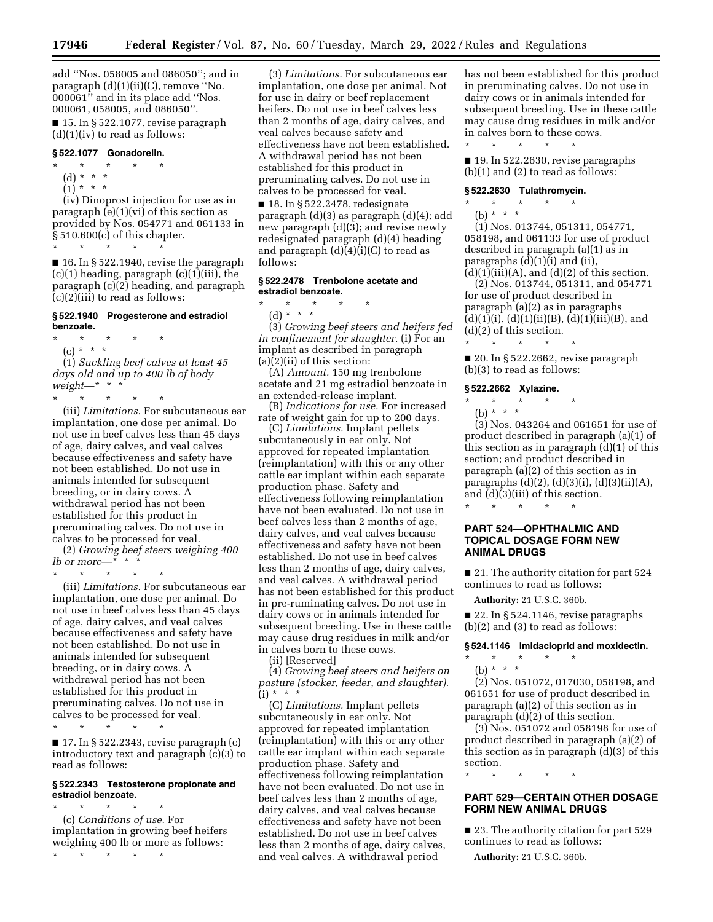add ''Nos. 058005 and 086050''; and in paragraph (d)(1)(ii)(C), remove "No. 000061'' and in its place add ''Nos. 000061, 058005, and 086050''.

 $\blacksquare$  15. In § 522.1077, revise paragraph  $(d)(1)(iv)$  to read as follows:

# **§ 522.1077 Gonadorelin.**

- \* \* \* \* \*
- (d) \* \* \*
- $(1)^*$  \* \* \*

(iv) Dinoprost injection for use as in paragraph  $(e)(1)(vi)$  of this section as provided by Nos. 054771 and 061133 in § 510.600(c) of this chapter.

\* \* \* \* \*

■ 16. In § 522.1940, revise the paragraph (c)(1) heading, paragraph (c)(1)(iii), the paragraph  $(c)(2)$  heading, and paragraph (c)(2)(iii) to read as follows:

#### **§ 522.1940 Progesterone and estradiol benzoate.**

\* \* \* \* \*

*weight*—\* \* \*

(c) \* \* \* (1) *Suckling beef calves at least 45 days old and up to 400 lb of body* 

\* \* \* \* \* (iii) *Limitations.* For subcutaneous ear implantation, one dose per animal. Do not use in beef calves less than 45 days of age, dairy calves, and veal calves because effectiveness and safety have not been established. Do not use in animals intended for subsequent breeding, or in dairy cows. A withdrawal period has not been established for this product in preruminating calves. Do not use in

calves to be processed for veal. (2) *Growing beef steers weighing 400* 

*lb* or more— $*\ast$  \* \* \* \* \* \* \*

(iii) *Limitations.* For subcutaneous ear implantation, one dose per animal. Do not use in beef calves less than 45 days of age, dairy calves, and veal calves because effectiveness and safety have not been established. Do not use in animals intended for subsequent breeding, or in dairy cows. A withdrawal period has not been established for this product in preruminating calves. Do not use in calves to be processed for veal.

\* \* \* \* \*

■ 17. In § 522.2343, revise paragraph (c) introductory text and paragraph (c)(3) to read as follows:

#### **§ 522.2343 Testosterone propionate and estradiol benzoate.**  \* \* \* \* \*

(c) *Conditions of use.* For implantation in growing beef heifers weighing 400 lb or more as follows:

\* \* \* \* \*

(3) *Limitations.* For subcutaneous ear implantation, one dose per animal. Not for use in dairy or beef replacement heifers. Do not use in beef calves less than 2 months of age, dairy calves, and veal calves because safety and effectiveness have not been established. A withdrawal period has not been established for this product in preruminating calves. Do not use in calves to be processed for veal.

■ 18. In § 522.2478, redesignate paragraph (d)(3) as paragraph (d)(4); add new paragraph (d)(3); and revise newly redesignated paragraph (d)(4) heading and paragraph  $(d)(4)(i)(C)$  to read as follows:

## **§ 522.2478 Trenbolone acetate and estradiol benzoate.**

\* \* \* \* \*

(d) \* \* \* (3) *Growing beef steers and heifers fed in confinement for slaughter.* (i) For an implant as described in paragraph (a)(2)(ii) of this section:

(A) *Amount.* 150 mg trenbolone acetate and 21 mg estradiol benzoate in an extended-release implant.

(B) *Indications for use.* For increased rate of weight gain for up to 200 days.

(C) *Limitations.* Implant pellets subcutaneously in ear only. Not approved for repeated implantation (reimplantation) with this or any other cattle ear implant within each separate production phase. Safety and effectiveness following reimplantation have not been evaluated. Do not use in beef calves less than 2 months of age, dairy calves, and veal calves because effectiveness and safety have not been established. Do not use in beef calves less than 2 months of age, dairy calves, and veal calves. A withdrawal period has not been established for this product in pre-ruminating calves. Do not use in dairy cows or in animals intended for subsequent breeding. Use in these cattle may cause drug residues in milk and/or in calves born to these cows.

(ii) [Reserved]

(4) *Growing beef steers and heifers on pasture (stocker, feeder, and slaughter).*   $(i) * * * *$ 

(C) *Limitations.* Implant pellets subcutaneously in ear only. Not approved for repeated implantation (reimplantation) with this or any other cattle ear implant within each separate production phase. Safety and effectiveness following reimplantation have not been evaluated. Do not use in beef calves less than 2 months of age, dairy calves, and veal calves because effectiveness and safety have not been established. Do not use in beef calves less than 2 months of age, dairy calves, and veal calves. A withdrawal period

has not been established for this product in preruminating calves. Do not use in dairy cows or in animals intended for subsequent breeding. Use in these cattle may cause drug residues in milk and/or in calves born to these cows. \* \* \* \* \*

■ 19. In 522.2630, revise paragraphs (b)(1) and (2) to read as follows:

#### **§ 522.2630 Tulathromycin.**

\* \* \* \* \*

(b) \* \* \*

(1) Nos. 013744, 051311, 054771, 058198, and 061133 for use of product described in paragraph (a)(1) as in paragraphs (d)(1)(i) and (ii),

 $(d)(1)(iii)(A)$ , and  $(d)(2)$  of this section. (2) Nos. 013744, 051311, and 054771 for use of product described in paragraph (a)(2) as in paragraphs  $(d)(1)(i), (d)(1)(ii)(B), (d)(1)(iii)(B), and$ (d)(2) of this section.

■ 20. In § 522.2662, revise paragraph (b)(3) to read as follows:

# **§ 522.2662 Xylazine.**

\* \* \* \* \*

- \* \* \* \* \*
- (b) \* \* \*

(3) Nos. 043264 and 061651 for use of product described in paragraph (a)(1) of this section as in paragraph (d)(1) of this section; and product described in paragraph (a)(2) of this section as in paragraphs (d)(2), (d)(3)(i), (d)(3)(ii)(A), and (d)(3)(iii) of this section.

## **PART 524—OPHTHALMIC AND TOPICAL DOSAGE FORM NEW ANIMAL DRUGS**

\* \* \* \* \*

■ 21. The authority citation for part 524 continues to read as follows:

**Authority:** 21 U.S.C. 360b.

■ 22. In § 524.1146, revise paragraphs  $(b)(2)$  and  $(3)$  to read as follows:

# **§ 524.1146 Imidacloprid and moxidectin.**

\* \* \* \* \*

(b) \* \* \* (2) Nos. 051072, 017030, 058198, and 061651 for use of product described in paragraph (a)(2) of this section as in

paragraph (d)(2) of this section. (3) Nos. 051072 and 058198 for use of

product described in paragraph (a)(2) of this section as in paragraph (d)(3) of this section.

\* \* \* \* \*

## **PART 529—CERTAIN OTHER DOSAGE FORM NEW ANIMAL DRUGS**

■ 23. The authority citation for part 529 continues to read as follows:

**Authority:** 21 U.S.C. 360b.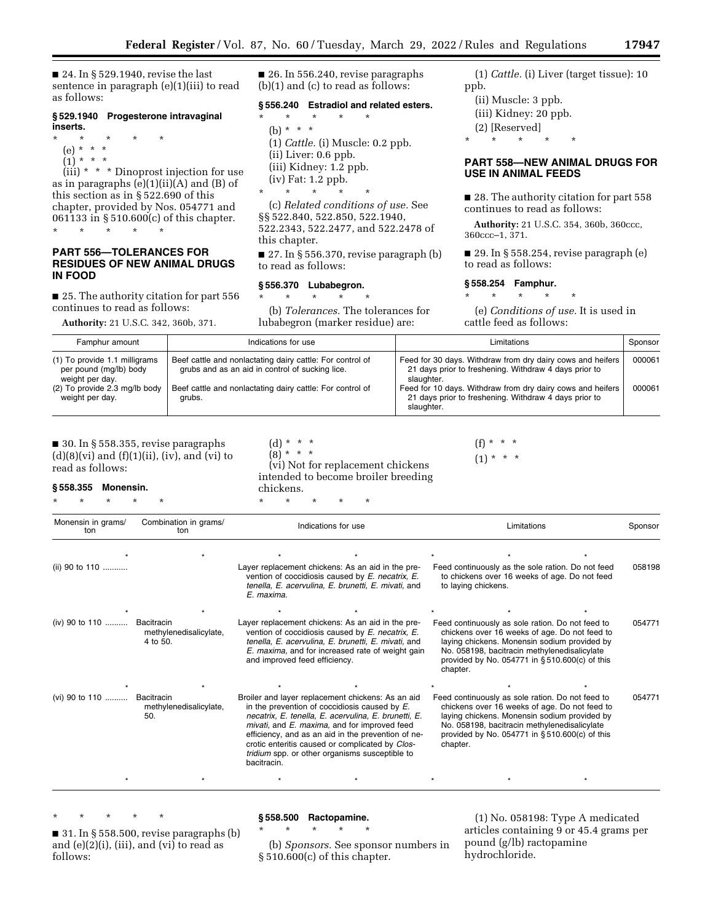■ 24. In § 529.1940, revise the last sentence in paragraph (e)(1)(iii) to read as follows:

#### **§ 529.1940 Progesterone intravaginal inserts.**

- \* \* \* \* \*
- (e) \* \* \*
- $(i) * * * *$

 $(iii) * * *$  Dinoprost injection for use as in paragraphs  $(e)(1)(ii)(A)$  and  $(B)$  of this section as in § 522.690 of this chapter, provided by Nos. 054771 and 061133 in § 510.600(c) of this chapter. \* \* \* \* \*

## **PART 556—TOLERANCES FOR RESIDUES OF NEW ANIMAL DRUGS IN FOOD**

■ 25. The authority citation for part 556 continues to read as follows:

**Authority:** 21 U.S.C. 342, 360b, 371.

■ 26. In 556.240, revise paragraphs (b)(1) and (c) to read as follows:

#### **§ 556.240 Estradiol and related esters.**

\* \* \* \* \* (b) \* \* \* (1) *Cattle.* (i) Muscle: 0.2 ppb. (ii) Liver: 0.6 ppb. (iii) Kidney: 1.2 ppb. (iv) Fat: 1.2 ppb. \* \* \* \* \*

(c) *Related conditions of use.* See §§ 522.840, 522.850, 522.1940, 522.2343, 522.2477, and 522.2478 of this chapter.

■ 27. In § 556.370, revise paragraph (b) to read as follows:

#### **§ 556.370 Lubabegron.**

\* \* \* \* \*

\* \* \* \* \*

(b) *Tolerances.* The tolerances for lubabegron (marker residue) are:

(1) *Cattle.* (i) Liver (target tissue): 10 ppb.

- (ii) Muscle: 3 ppb.
- (iii) Kidney: 20 ppb.
- (2) [Reserved]

\* \* \* \* \*

## **PART 558—NEW ANIMAL DRUGS FOR USE IN ANIMAL FEEDS**

■ 28. The authority citation for part 558 continues to read as follows:

**Authority:** 21 U.S.C. 354, 360b, 360ccc, 360ccc–1, 371.

■ 29. In § 558.254, revise paragraph (e) to read as follows:

## **§ 558.254 Famphur.**

\* \* \* \* \*

(e) *Conditions of use.* It is used in cattle feed as follows:

| Famphur amount                                                             | Indications for use                                                                                          | Limitations                                                                                                                       | Sponsor |
|----------------------------------------------------------------------------|--------------------------------------------------------------------------------------------------------------|-----------------------------------------------------------------------------------------------------------------------------------|---------|
| (1) To provide 1.1 milligrams<br>per pound (mg/lb) body<br>weight per day. | Beef cattle and nonlactating dairy cattle: For control of<br>grubs and as an aid in control of sucking lice. | Feed for 30 days. Withdraw from dry dairy cows and heifers<br>21 days prior to freshening. Withdraw 4 days prior to<br>slaughter. | 000061  |
| (2) To provide 2.3 mg/lb body<br>weight per day.                           | Beef cattle and nonlactating dairy cattle: For control of<br>grubs.                                          | Feed for 10 days. Withdraw from dry dairy cows and heifers<br>21 days prior to freshening. Withdraw 4 days prior to<br>slaughter. | 000061  |

## ■ 30. In § 558.355, revise paragraphs  $(d)(8)(vi)$  and  $(f)(1)(ii)$ ,  $(iv)$ , and  $(vi)$  to read as follows:

**§ 558.355 Monensin.** 

\* \* \* \* \*

 $(d) * * * *$  $(8) * * * *$ (vi) Not for replacement chickens intended to become broiler breeding chickens.

 $(f) * * * *$  $(1) * * * *$ 

Monensin in grams/ ton Combination in grams/ on in granis/ **contract indications for use Limitations** ( Limitations Consor Sponsor )<br>ton \*\*\*\*\*\*\* (ii) 90 to 110 ........... Layer replacement chickens: As an aid in the prevention of coccidiosis caused by *E. necatrix, E. tenella, E. acervulina, E. brunetti, E. mivati,* and *E. maxima*. Feed continuously as the sole ration. Do not feed to chickens over 16 weeks of age. Do not feed to laying chickens. 058198 \*\*\*\*\*\*\* (iv) 90 to 110 .......... Bacitracin methylenedisalicylate, 4 to 50. Layer replacement chickens: As an aid in the prevention of coccidiosis caused by *E. necatrix, E. tenella, E. acervulina, E. brunetti, E. mivati,* and *E. maxima,* and for increased rate of weight gain and improved feed efficiency. Feed continuously as sole ration. Do not feed to chickens over 16 weeks of age. Do not feed to laying chickens. Monensin sodium provided by No. 058198, bacitracin methylenedisalicylate provided by No. 054771 in § 510.600(c) of this chapter. 054771 \*\*\*\*\*\*\* (vi) 90 to 110 .......... Bacitracin methylenedisalicylate, 50. Broiler and layer replacement chickens: As an aid in the prevention of coccidiosis caused by *E. necatrix, E. tenella, E. acervulina, E. brunetti, E. mivati,* and *E. maxima,* and for improved feed efficiency, and as an aid in the prevention of necrotic enteritis caused or complicated by *Clostridium* spp. or other organisms susceptible to bacitracin. Feed continuously as sole ration. Do not feed to chickens over 16 weeks of age. Do not feed to laying chickens. Monensin sodium provided by No. 058198, bacitracin methylenedisalicylate provided by No. 054771 in § 510.600(c) of this chapter. 054771 \*\*\*\*\*\*\*

\* \* \* \* \*

# **§ 558.500 Ractopamine.**  \* \* \* \* \*

■ 31. In § 558.500, revise paragraphs (b) and (e)(2)(i), (iii), and (vi) to read as follows:

(b) *Sponsors.* See sponsor numbers in § 510.600(c) of this chapter.

(1) No. 058198: Type A medicated articles containing 9 or 45.4 grams per pound (g/lb) ractopamine hydrochloride.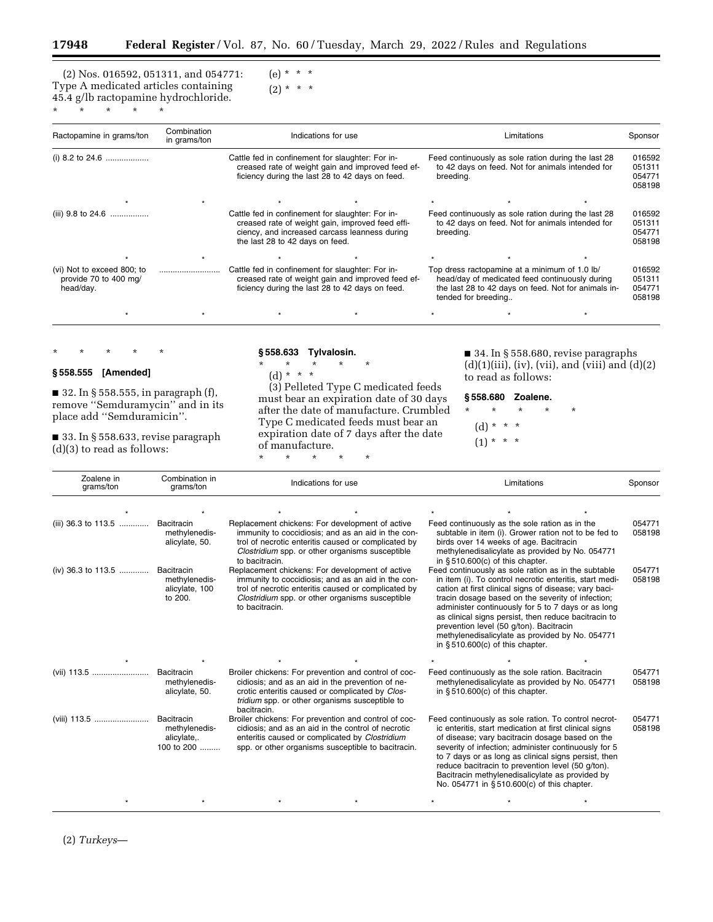═

 $(e) * * * *$  $(2) * * * *$ 

(2) Nos. 016592, 051311, and 054771: Type A medicated articles containing 45.4 g/lb ractopamine hydrochloride. \* \* \* \* \*

| Ractopamine in grams/ton                                         | Combination<br>in grams/ton | Indications for use                                                                                                                                                                      |                                                   |                                                                                                                      | Limitations                                                                                             |                                                     | Sponsor                              |
|------------------------------------------------------------------|-----------------------------|------------------------------------------------------------------------------------------------------------------------------------------------------------------------------------------|---------------------------------------------------|----------------------------------------------------------------------------------------------------------------------|---------------------------------------------------------------------------------------------------------|-----------------------------------------------------|--------------------------------------|
|                                                                  |                             | Cattle fed in confinement for slaughter: For in-<br>creased rate of weight gain and improved feed ef-<br>ficiency during the last 28 to 42 days on feed.                                 |                                                   | Feed continuously as sole ration during the last 28<br>to 42 days on feed. Not for animals intended for<br>breeding. |                                                                                                         |                                                     | 016592<br>051311<br>054771<br>058198 |
|                                                                  |                             |                                                                                                                                                                                          |                                                   |                                                                                                                      |                                                                                                         |                                                     |                                      |
|                                                                  |                             | Cattle fed in confinement for slaughter: For in-<br>creased rate of weight gain, improved feed effi-<br>ciency, and increased carcass leanness during<br>the last 28 to 42 days on feed. |                                                   | breeding.                                                                                                            | Feed continuously as sole ration during the last 28<br>to 42 days on feed. Not for animals intended for |                                                     | 016592<br>051311<br>054771<br>058198 |
|                                                                  |                             |                                                                                                                                                                                          |                                                   |                                                                                                                      |                                                                                                         |                                                     |                                      |
| (vi) Not to exceed 800; to<br>provide 70 to 400 mg/<br>head/day. |                             | Cattle fed in confinement for slaughter: For in-<br>ficiency during the last 28 to 42 days on feed.                                                                                      | creased rate of weight gain and improved feed ef- | tended for breeding                                                                                                  | Top dress ractopamine at a minimum of 1.0 lb/<br>head/day of medicated feed continuously during         | the last 28 to 42 days on feed. Not for animals in- | 016592<br>051311<br>054771<br>058198 |
|                                                                  |                             |                                                                                                                                                                                          |                                                   |                                                                                                                      |                                                                                                         |                                                     |                                      |

#### \* \* \* \* \*

## **§ 558.555 [Amended]**

■ 32. In § 558.555, in paragraph (f), remove ''Semduramycin'' and in its place add ''Semduramicin''.

■ 33. In § 558.633, revise paragraph (d)(3) to read as follows:

# **§ 558.633 Tylvalosin.**

\* \* \* \* \*

(d) \* \* \* (3) Pelleted Type C medicated feeds must bear an expiration date of 30 days after the date of manufacture. Crumbled Type C medicated feeds must bear an expiration date of 7 days after the date of manufacture. \* \* \* \* \*

■ 34. In § 558.680, revise paragraphs  $(d)(1)(iii)$ , (iv), (vii), and (viii) and  $(d)(2)$ to read as follows:

**§ 558.680 Zoalene.**  \* \* \* \* \*

(d) \* \* \*

 $(1) * * * *$ 

| Zoalene in<br>grams/ton        | Combination in<br>Indications for use<br>grams/ton       |                                                                                                                                                                                                                                                                                     | Limitations                                                                                                                                                                                                                                                                                                                                                                                                                                                                   | Sponsor          |
|--------------------------------|----------------------------------------------------------|-------------------------------------------------------------------------------------------------------------------------------------------------------------------------------------------------------------------------------------------------------------------------------------|-------------------------------------------------------------------------------------------------------------------------------------------------------------------------------------------------------------------------------------------------------------------------------------------------------------------------------------------------------------------------------------------------------------------------------------------------------------------------------|------------------|
|                                |                                                          |                                                                                                                                                                                                                                                                                     |                                                                                                                                                                                                                                                                                                                                                                                                                                                                               |                  |
| (iii) 36.3 to 113.5            | Bacitracin<br>methylenedis-<br>alicylate, 50.            | Replacement chickens: For development of active<br>immunity to coccidiosis; and as an aid in the con-<br>trol of necrotic enteritis caused or complicated by<br>Clostridium spp. or other organisms susceptible<br>to bacitracin.                                                   | Feed continuously as the sole ration as in the<br>subtable in item (i). Grower ration not to be fed to<br>birds over 14 weeks of age. Bacitracin<br>methylenedisalicylate as provided by No. 054771<br>in $§510.600(c)$ of this chapter.                                                                                                                                                                                                                                      | 054771<br>058198 |
| (iv) 36.3 to 113.5  Bacitracin | methylenedis-<br>alicylate, 100<br>to 200.               | Replacement chickens: For development of active<br>immunity to coccidiosis; and as an aid in the con-<br>trol of necrotic enteritis caused or complicated by<br>Clostridium spp. or other organisms susceptible<br>to bacitracin.                                                   | Feed continuously as sole ration as in the subtable<br>in item (i). To control necrotic enteritis, start medi-<br>cation at first clinical signs of disease; vary baci-<br>tracin dosage based on the severity of infection;<br>administer continuously for 5 to 7 days or as long<br>as clinical signs persist, then reduce bacitracin to<br>prevention level (50 g/ton). Bacitracin<br>methylenedisalicylate as provided by No. 054771<br>in $§510.600(c)$ of this chapter. | 054771<br>058198 |
| (vii) 113.5                    | Bacitracin<br>methylenedis-<br>alicylate, 50.            | Broiler chickens: For prevention and control of coc-<br>cidiosis; and as an aid in the prevention of ne-<br>crotic enteritis caused or complicated by Clos-                                                                                                                         | Feed continuously as the sole ration. Bacitracin<br>methylenedisalicylate as provided by No. 054771<br>in $§ 510.600(c)$ of this chapter.                                                                                                                                                                                                                                                                                                                                     | 054771<br>058198 |
| (viii) 113.5                   | Bacitracin<br>methylenedis-<br>alicylate,.<br>100 to 200 | tridium spp. or other organisms susceptible to<br>bacitracin.<br>Broiler chickens: For prevention and control of coc-<br>cidiosis; and as an aid in the control of necrotic<br>enteritis caused or complicated by Clostridium<br>spp. or other organisms susceptible to bacitracin. | Feed continuously as sole ration. To control necrot-<br>ic enteritis, start medication at first clinical signs<br>of disease; vary bacitracin dosage based on the<br>severity of infection; administer continuously for 5<br>to 7 days or as long as clinical signs persist, then<br>reduce bacitracin to prevention level (50 g/ton).<br>Bacitracin methylenedisalicylate as provided by<br>No. 054771 in §510.600(c) of this chapter.                                       | 054771<br>058198 |
|                                |                                                          |                                                                                                                                                                                                                                                                                     |                                                                                                                                                                                                                                                                                                                                                                                                                                                                               |                  |

(2) *Turkeys*—